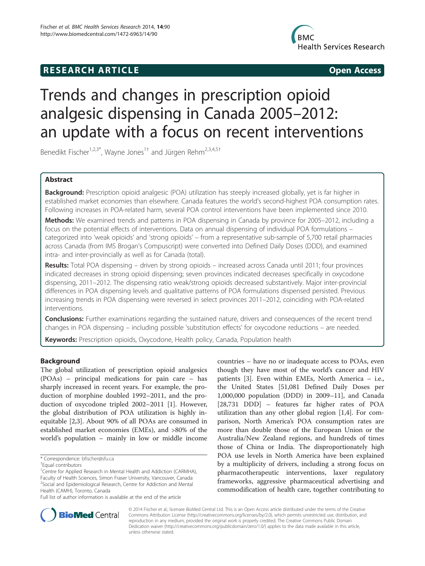## **RESEARCH ARTICLE Example 2014 CONSIDERING CONSIDERING CONSIDERING CONSIDERING CONSIDERING CONSIDERING CONSIDERING CONSIDERING CONSIDERING CONSIDERING CONSIDERING CONSIDERING CONSIDERING CONSIDERING CONSIDERING CONSIDE**



# Trends and changes in prescription opioid analgesic dispensing in Canada 2005–2012: an update with a focus on recent interventions

Benedikt Fischer<sup>1,2,3\*</sup>, Wayne Jones<sup>1†</sup> and Jürgen Rehm<sup>2,3,4,5†</sup>

## Abstract

Background: Prescription opioid analgesic (POA) utilization has steeply increased globally, yet is far higher in established market economies than elsewhere. Canada features the world's second-highest POA consumption rates. Following increases in POA-related harm, several POA control interventions have been implemented since 2010.

Methods: We examined trends and patterns in POA dispensing in Canada by province for 2005–2012, including a focus on the potential effects of interventions. Data on annual dispensing of individual POA formulations – categorized into 'weak opioids' and 'strong opioids' – from a representative sub-sample of 5,700 retail pharmacies across Canada (from IMS Brogan's Compuscript) were converted into Defined Daily Doses (DDD), and examined intra- and inter-provincially as well as for Canada (total).

Results: Total POA dispensing – driven by strong opioids – increased across Canada until 2011; four provinces indicated decreases in strong opioid dispensing; seven provinces indicated decreases specifically in oxycodone dispensing, 2011–2012. The dispensing ratio weak/strong opioids decreased substantively. Major inter-provincial differences in POA dispensing levels and qualitative patterns of POA formulations dispensed persisted. Previous increasing trends in POA dispensing were reversed in select provinces 2011–2012, coinciding with POA-related interventions.

**Conclusions:** Further examinations regarding the sustained nature, drivers and consequences of the recent trend changes in POA dispensing – including possible 'substitution effects' for oxycodone reductions – are needed.

Keywords: Prescription opioids, Oxycodone, Health policy, Canada, Population health

## Background

The global utilization of prescription opioid analgesics (POAs) – principal medications for pain care – has sharply increased in recent years. For example, the production of morphine doubled 1992–2011, and the production of oxycodone tripled 2002–2011 [[1\]](#page-6-0). However, the global distribution of POA utilization is highly inequitable [\[2,3](#page-6-0)]. About 90% of all POAs are consumed in established market economies (EMEs), and >80% of the world's population – mainly in low or middle income

countries – have no or inadequate access to POAs, even though they have most of the world's cancer and HIV patients [[3\]](#page-6-0). Even within EMEs, North America – i.e., the United States [51,081 Defined Daily Doses per 1,000,000 population (DDD) in 2009–11], and Canada [28,731 DDD] – features far higher rates of POA utilization than any other global region [[1,4\]](#page-6-0). For comparison, North America's POA consumption rates are more than double those of the European Union or the Australia/New Zealand regions, and hundreds of times those of China or India. The disproportionately high POA use levels in North America have been explained by a multiplicity of drivers, including a strong focus on pharmacotherapeutic interventions, laxer regulatory frameworks, aggressive pharmaceutical advertising and commodification of health care, together contributing to



© 2014 Fischer et al.; licensee BioMed Central Ltd. This is an Open Access article distributed under the terms of the Creative Commons Attribution License [\(http://creativecommons.org/licenses/by/2.0\)](http://creativecommons.org/licenses/by/2.0), which permits unrestricted use, distribution, and reproduction in any medium, provided the original work is properly credited. The Creative Commons Public Domain Dedication waiver [\(http://creativecommons.org/publicdomain/zero/1.0/](http://creativecommons.org/publicdomain/zero/1.0/)) applies to the data made available in this article, unless otherwise stated.

<sup>\*</sup> Correspondence: [bfischer@sfu.ca](mailto:bfischer@sfu.ca) †

Equal contributors

<sup>&</sup>lt;sup>1</sup> Centre for Applied Research in Mental Health and Addiction (CARMHA), Faculty of Health Sciences, Simon Fraser University, Vancouver, Canada <sup>2</sup>Social and Epidemiological Research, Centre for Addiction and Mental Health (CAMH), Toronto, Canada

Full list of author information is available at the end of the article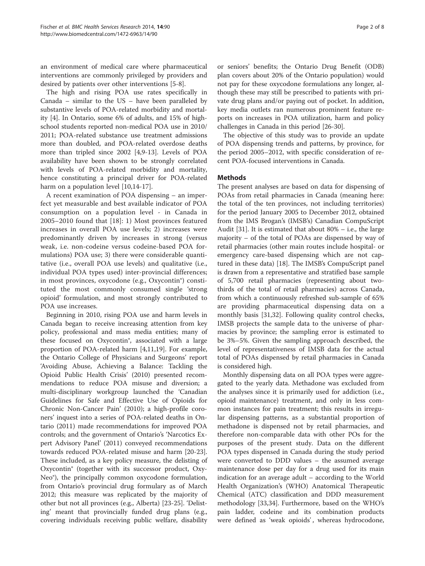an environment of medical care where pharmaceutical interventions are commonly privileged by providers and desired by patients over other interventions [[5-8](#page-6-0)].

The high and rising POA use rates specifically in Canada – similar to the US – have been paralleled by substantive levels of POA-related morbidity and mortality [\[4](#page-6-0)]. In Ontario, some 6% of adults, and 15% of highschool students reported non-medical POA use in 2010/ 2011; POA-related substance use treatment admissions more than doubled, and POA-related overdose deaths more than tripled since 2002 [[4](#page-6-0),[9-13\]](#page-6-0). Levels of POA availability have been shown to be strongly correlated with levels of POA-related morbidity and mortality, hence constituting a principal driver for POA-related harm on a population level [[10](#page-6-0),[14](#page-6-0)-[17\]](#page-6-0).

A recent examination of POA dispensing – an imperfect yet measurable and best available indicator of POA consumption on a population level - in Canada in 2005–2010 found that [\[18](#page-6-0)]: 1) Most provinces featured increases in overall POA use levels; 2) increases were predominantly driven by increases in strong (versus weak, i.e. non-codeine versus codeine-based POA formulations) POA use; 3) there were considerable quantitative (i.e., overall POA use levels) and qualitative (i.e., individual POA types used) inter-provincial differences; in most provinces, oxycodone (e.g., Oxycontin®) constituted the most commonly consumed single 'strong opioid' formulation, and most strongly contributed to POA use increases.

Beginning in 2010, rising POA use and harm levels in Canada began to receive increasing attention from key policy, professional and mass media entities; many of these focused on Oxycontin®, associated with a large proportion of POA-related harm [\[4,11,19](#page-6-0)]. For example, the Ontario College of Physicians and Surgeons' report 'Avoiding Abuse, Achieving a Balance: Tackling the Opioid Public Health Crisis' (2010) presented recommendations to reduce POA misuse and diversion; a multi-disciplinary workgroup launched the 'Canadian Guidelines for Safe and Effective Use of Opioids for Chronic Non-Cancer Pain' (2010); a high-profile coroners' inquest into a series of POA-related deaths in Ontario (2011) made recommendations for improved POA controls; and the government of Ontario's 'Narcotics Expert Advisory Panel' (2011) conveyed recommendations towards reduced POA-related misuse and harm [\[20-23](#page-6-0)]. These included, as a key policy measure, the delisting of Oxycontin® (together with its successor product, Oxy-Neo®), the principally common oxycodone formulation, from Ontario's provincial drug formulary as of March 2012; this measure was replicated by the majority of other but not all provinces (e.g., Alberta) [\[23-25](#page-6-0)]. 'Delisting' meant that provincially funded drug plans (e.g., covering individuals receiving public welfare, disability

or seniors' benefits; the Ontario Drug Benefit (ODB) plan covers about 20% of the Ontario population) would not pay for these oxycodone formulations any longer, although these may still be prescribed to patients with private drug plans and/or paying out of pocket. In addition, key media outlets ran numerous prominent feature reports on increases in POA utilization, harm and policy challenges in Canada in this period [[26-30](#page-6-0)].

The objective of this study was to provide an update of POA dispensing trends and patterns, by province, for the period 2005–2012, with specific consideration of recent POA-focused interventions in Canada.

## **Methods**

The present analyses are based on data for dispensing of POAs from retail pharmacies in Canada (meaning here: the total of the ten provinces, not including territories) for the period January 2005 to December 2012, obtained from the IMS Brogan's (IMSB's) Canadian CompuScript Audit [\[31\]](#page-6-0). It is estimated that about 80% – i.e., the large majority – of the total of POAs are dispensed by way of retail pharmacies (other main routes include hospital- or emergency care-based dispensing which are not captured in these data) [[18\]](#page-6-0). The IMSB's CompuScript panel is drawn from a representative and stratified base sample of 5,700 retail pharmacies (representing about twothirds of the total of retail pharmacies) across Canada, from which a continuously refreshed sub-sample of 65% are providing pharmaceutical dispensing data on a monthly basis [\[31,32](#page-6-0)]. Following quality control checks, IMSB projects the sample data to the universe of pharmacies by province; the sampling error is estimated to be 3%–5%. Given the sampling approach described, the level of representativeness of IMSB data for the actual total of POAs dispensed by retail pharmacies in Canada is considered high.

Monthly dispensing data on all POA types were aggregated to the yearly data. Methadone was excluded from the analyses since it is primarily used for addiction (i.e., opioid maintenance) treatment, and only in less common instances for pain treatment; this results in irregular dispensing patterns, as a substantial proportion of methadone is dispensed not by retail pharmacies, and therefore non-comparable data with other POs for the purposes of the present study. Data on the different POA types dispensed in Canada during the study period were converted to DDD values – the assumed average maintenance dose per day for a drug used for its main indication for an average adult – according to the World Health Organization's (WHO) Anatomical Therapeutic Chemical (ATC) classification and DDD measurement methodology [\[33,34](#page-6-0)]. Furthermore, based on the WHO's pain ladder, codeine and its combination products were defined as 'weak opioids', whereas hydrocodone,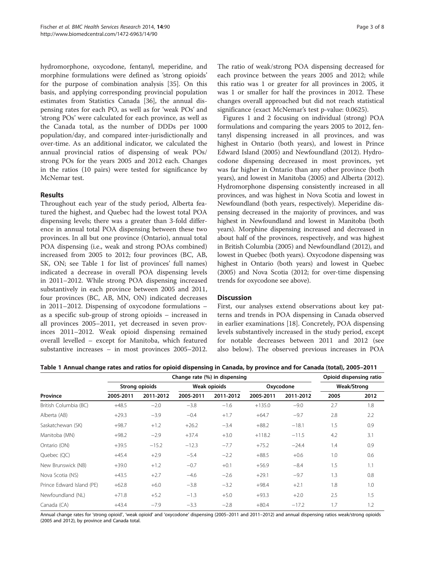<span id="page-2-0"></span>hydromorphone, oxycodone, fentanyl, meperidine, and morphine formulations were defined as 'strong opioids' for the purpose of combination analysis [[35](#page-6-0)]. On this basis, and applying corresponding provincial population estimates from Statistics Canada [\[36](#page-7-0)], the annual dispensing rates for each PO, as well as for 'weak POs' and 'strong POs' were calculated for each province, as well as the Canada total, as the number of DDDs per 1000 population/day, and compared inter-jurisdictionally and over-time. As an additional indicator, we calculated the annual provincial ratios of dispensing of weak POs/ strong POs for the years 2005 and 2012 each. Changes in the ratios (10 pairs) were tested for significance by McNemar test.

## Results

Throughout each year of the study period, Alberta featured the highest, and Quebec had the lowest total POA dispensing levels; there was a greater than 3-fold difference in annual total POA dispensing between these two provinces. In all but one province (Ontario), annual total POA dispensing (i.e., weak and strong POAs combined) increased from 2005 to 2012; four provinces (BC, AB, SK, ON; see Table 1 for list of provinces' full names) indicated a decrease in overall POA dispensing levels in 2011–2012. While strong POA dispensing increased substantively in each province between 2005 and 2011, four provinces (BC, AB, MN, ON) indicated decreases in 2011–2012. Dispensing of oxycodone formulations – as a specific sub-group of strong opioids – increased in all provinces 2005–2011, yet decreased in seven provinces 2011–2012. Weak opioid dispensing remained overall levelled – except for Manitoba, which featured substantive increases – in most provinces 2005–2012. The ratio of weak/strong POA dispensing decreased for each province between the years 2005 and 2012; while this ratio was 1 or greater for all provinces in 2005, it was 1 or smaller for half the provinces in 2012. These changes overall approached but did not reach statistical significance (exact McNemar's test p-value: 0.0625).

Figures [1](#page-3-0) and [2](#page-4-0) focusing on individual (strong) POA formulations and comparing the years 2005 to 2012, fentanyl dispensing increased in all provinces, and was highest in Ontario (both years), and lowest in Prince Edward Island (2005) and Newfoundland (2012). Hydrocodone dispensing decreased in most provinces, yet was far higher in Ontario than any other province (both years), and lowest in Manitoba (2005) and Alberta (2012). Hydromorphone dispensing consistently increased in all provinces, and was highest in Nova Scotia and lowest in Newfoundland (both years, respectively). Meperidine dispensing decreased in the majority of provinces, and was highest in Newfoundland and lowest in Manitoba (both years). Morphine dispensing increased and decreased in about half of the provinces, respectively, and was highest in British Columbia (2005) and Newfoundland (2012), and lowest in Quebec (both years). Oxycodone dispensing was highest in Ontario (both years) and lowest in Quebec (2005) and Nova Scotia (2012; for over-time dispensing trends for oxycodone see above).

## **Discussion**

First, our analyses extend observations about key patterns and trends in POA dispensing in Canada observed in earlier examinations [[18\]](#page-6-0). Concretely, POA dispensing levels substantively increased in the study period, except for notable decreases between 2011 and 2012 (see also below). The observed previous increases in POA

| Table 1 Annual change rates and ratios for opioid dispensing in Canada, by province and for Canada (total), 2005–2011 |  |  |  |
|-----------------------------------------------------------------------------------------------------------------------|--|--|--|
|-----------------------------------------------------------------------------------------------------------------------|--|--|--|

| Province                  | Change rate (%) in dispensing |           |              |           |           |           | Opioid dispensing ratio |      |
|---------------------------|-------------------------------|-----------|--------------|-----------|-----------|-----------|-------------------------|------|
|                           | <b>Strong opioids</b>         |           | Weak opioids |           | Oxycodone |           | Weak/Strong             |      |
|                           | 2005-2011                     | 2011-2012 | 2005-2011    | 2011-2012 | 2005-2011 | 2011-2012 | 2005                    | 2012 |
| British Columbia (BC)     | $+48.5$                       | $-2.0$    | $-3.8$       | $-1.6$    | $+135.0$  | $-9.0$    | 2.7                     | 1.8  |
| Alberta (AB)              | $+29.3$                       | $-3.9$    | $-0.4$       | $+1.7$    | $+64.7$   | $-9.7$    | 2.8                     | 2.2  |
| Saskatchewan (SK)         | $+98.7$                       | $+1.2$    | $+26.2$      | $-3.4$    | $+88.2$   | $-18.1$   | 1.5                     | 0.9  |
| Manitoba (MN)             | $+98.2$                       | $-2.9$    | $+37.4$      | $+3.0$    | $+118.2$  | $-11.5$   | 4.2                     | 3.1  |
| Ontario (ON)              | $+39.5$                       | $-15.2$   | $-12.3$      | $-7.7$    | $+75.2$   | $-24.4$   | 1.4                     | 0.9  |
| Quebec (QC)               | $+45.4$                       | $+2.9$    | $-5.4$       | $-2.2$    | $+88.5$   | $+0.6$    | 1.0                     | 0.6  |
| New Brunswick (NB)        | $+39.0$                       | $+1.2$    | $-0.7$       | $+0.1$    | $+56.9$   | $-8.4$    | 1.5                     | 1.1  |
| Nova Scotia (NS)          | $+43.5$                       | $+2.7$    | $-4.6$       | $-2.6$    | $+29.1$   | $-9.7$    | 1.3                     | 0.8  |
| Prince Edward Island (PE) | $+62.8$                       | $+6.0$    | $-3.8$       | $-3.2$    | $+98.4$   | $+2.1$    | 1.8                     | 1.0  |
| Newfoundland (NL)         | $+71.8$                       | $+5.2$    | $-1.3$       | $+5.0$    | $+93.3$   | $+2.0$    | 2.5                     | 1.5  |
| Canada (CA)               | $+43.4$                       | $-7.9$    | $-3.3$       | $-2.8$    | $+80.4$   | $-17.2$   | 1.7                     | 1.2  |

Annual change rates for 'strong opioid', 'weak opioid' and 'oxycodone' dispensing (2005–2011 and 2011–2012) and annual dispensing ratios weak/strong opioids (2005 and 2012), by province and Canada total.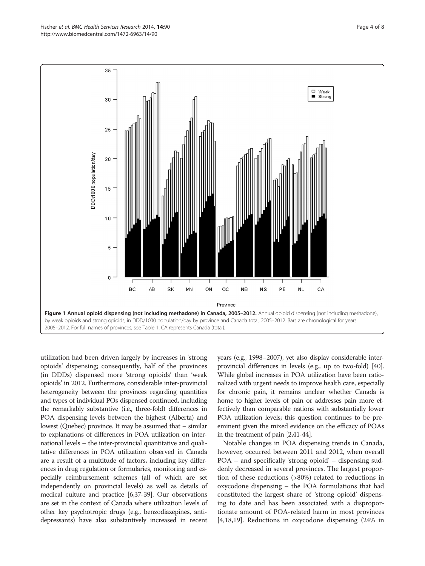<span id="page-3-0"></span>

utilization had been driven largely by increases in 'strong opioids' dispensing; consequently, half of the provinces (in DDDs) dispensed more 'strong opioids' than 'weak opioids' in 2012. Furthermore, considerable inter-provincial heterogeneity between the provinces regarding quantities and types of individual POs dispensed continued, including the remarkably substantive (i.e., three-fold) differences in POA dispensing levels between the highest (Alberta) and lowest (Quebec) province. It may be assumed that – similar to explanations of differences in POA utilization on international levels – the inter-provincial quantitative and qualitative differences in POA utilization observed in Canada are a result of a multitude of factors, including key differences in drug regulation or formularies, monitoring and especially reimbursement schemes (all of which are set independently on provincial levels) as well as details of medical culture and practice [[6](#page-6-0)[,37-39\]](#page-7-0). Our observations are set in the context of Canada where utilization levels of other key psychotropic drugs (e.g., benzodiazepines, antidepressants) have also substantively increased in recent years (e.g., 1998–2007), yet also display considerable interprovincial differences in levels (e.g., up to two-fold) [\[40](#page-7-0)]. While global increases in POA utilization have been rationalized with urgent needs to improve health care, especially for chronic pain, it remains unclear whether Canada is home to higher levels of pain or addresses pain more effectively than comparable nations with substantially lower POA utilization levels; this question continues to be preeminent given the mixed evidence on the efficacy of POAs in the treatment of pain [\[2,](#page-6-0)[41](#page-7-0)-[44](#page-7-0)].

Notable changes in POA dispensing trends in Canada, however, occurred between 2011 and 2012, when overall POA – and specifically 'strong opioid' – dispensing suddenly decreased in several provinces. The largest proportion of these reductions (>80%) related to reductions in oxycodone dispensing – the POA formulations that had constituted the largest share of 'strong opioid' dispensing to date and has been associated with a disproportionate amount of POA-related harm in most provinces [[4,18,19\]](#page-6-0). Reductions in oxycodone dispensing (24% in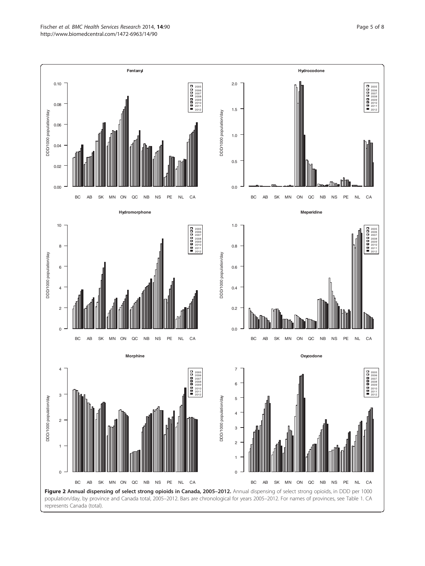<span id="page-4-0"></span>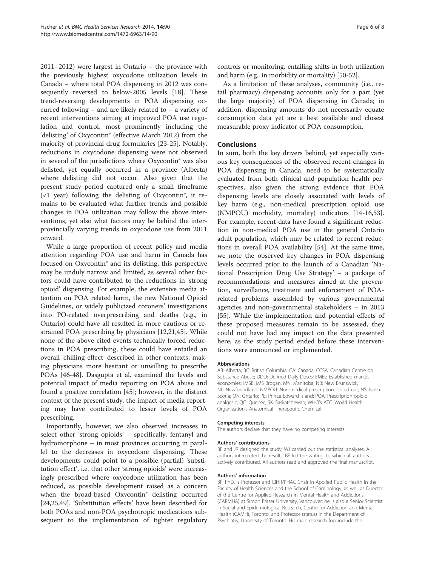2011–2012) were largest in Ontario – the province with the previously highest oxycodone utilization levels in Canada – where total POA dispensing in 2012 was consequently reversed to below-2005 levels [\[18](#page-6-0)]. These trend-reversing developments in POA dispensing occurred following – and are likely related to – a variety of recent interventions aiming at improved POA use regulation and control, most prominently including the 'delisting' of Oxycontin® (effective March 2012) from the majority of provincial drug formularies [\[23](#page-6-0)-[25\]](#page-6-0). Notably, reductions in oxycodone dispensing were not observed in several of the jurisdictions where Oxycontin® was also delisted, yet equally occurred in a province (Alberta) where delisting did not occur. Also given that the present study period captured only a small timeframe  $\left($  <1 year) following the delisting of Oxycontin<sup>®</sup>, it remains to be evaluated what further trends and possible changes in POA utilization may follow the above interventions, yet also what factors may be behind the interprovincially varying trends in oxycodone use from 2011 onward.

While a large proportion of recent policy and media attention regarding POA use and harm in Canada has focused on Oxycontin® and its delisting, this perspective may be unduly narrow and limited, as several other factors could have contributed to the reductions in 'strong opioid' dispensing. For example, the extensive media attention on POA related harm, the new National Opioid Guidelines, or widely publicized coroners' investigations into PO-related overprescribing and deaths (e.g., in Ontario) could have all resulted in more cautious or restrained POA prescribing by physicians [[12,21,](#page-6-0)[45\]](#page-7-0). While none of the above cited events technically forced reductions in POA prescribing, these could have entailed an overall 'chilling effect' described in other contexts, making physicians more hesitant or unwilling to prescribe POAs [\[46-48](#page-7-0)]. Dasgupta et al. examined the levels and potential impact of media reporting on POA abuse and found a positive correlation [\[45](#page-7-0)]; however, in the distinct context of the present study, the impact of media reporting may have contributed to lesser levels of POA prescribing.

Importantly, however, we also observed increases in select other 'strong opioids' – specifically, fentanyl and hydromorphone – in most provinces occurring in parallel to the decreases in oxycodone dispensing. These developments could point to a possible (partial) 'substitution effect', i.e. that other 'strong opioids' were increasingly prescribed where oxycodone utilization has been reduced, as possible development raised as a concern when the broad-based Oxycontin® delisting occurred [[24,25,](#page-6-0)[49\]](#page-7-0). 'Substitution effects' have been described for both POAs and non-POA psychotropic medications subsequent to the implementation of tighter regulatory

controls or monitoring, entailing shifts in both utilization and harm (e.g., in morbidity or mortality) [[50](#page-7-0)-[52](#page-7-0)].

As a limitation of these analyses, community (i.e., retail pharmacy) dispensing accounts only for a part (yet the large majority) of POA dispensing in Canada; in addition, dispensing amounts do not necessarily equate consumption data yet are a best available and closest measurable proxy indicator of POA consumption.

## Conclusions

In sum, both the key drivers behind, yet especially various key consequences of the observed recent changes in POA dispensing in Canada, need to be systematically evaluated from both clinical and population health perspectives, also given the strong evidence that POA dispensing levels are closely associated with levels of key harm (e.g., non-medical prescription opioid use (NMPOU) morbidity, mortality) indicators [\[14-16](#page-6-0)[,53](#page-7-0)]. For example, recent data have found a significant reduction in non-medical POA use in the general Ontario adult population, which may be related to recent reductions in overall POA availability [[54](#page-7-0)]. At the same time, we note the observed key changes in POA dispensing levels occurred prior to the launch of a Canadian 'National Prescription Drug Use Strategy' – a package of recommendations and measures aimed at the prevention, surveillance, treatment and enforcement of POArelated problems assembled by various governmental agencies and non-governmental stakeholders – in 2013 [[55\]](#page-7-0). While the implementation and potential effects of these proposed measures remain to be assessed, they could not have had any impact on the data presented here, as the study period ended before these interventions were announced or implemented.

#### Abbreviations

AB: Alberta; BC: British Columbia; CA: Canada; CCSA: Canadian Centre on Substance Abuse; DDD: Defined Daily Doses; EMEs: Established market economies; IMSB: IMS Brogan; MN: Manitoba; NB: New Brunswick; NL: Newfoundland; NMPOU: Non-medical prescription opioid use; NS: Nova Scotia; ON: Ontario; PE: Prince Edward Island; POA: Prescription opioid analgesic; QC: Quebec; SK: Saskatchewan; WHO's ATC: World Health Organization's Anatomical Therapeutic Chemical.

#### Competing interests

The authors declare that they have no competing interests.

#### Authors' contributions

BF and JR designed the study; WJ carried out the statistical analyses. All authors interpreted the results. BF led the writing, to which all authors actively contributed. All authors read and approved the final manuscript.

#### Authors' information

BF, PhD, is Professor and CIHR/PHAC Chair in Applied Public Health in the Faculty of Health Sciences and the School of Criminology, as well as Director of the Centre for Applied Research in Mental Health and Addictions (CARMHA) at Simon Fraser University, Vancouver; he is also a Senior Scientist in Social and Epidemiological Research, Centre for Addiction and Mental Health (CAMH), Toronto, and Professor (status) in the Department of Psychiatry, University of Toronto. His main research foci include the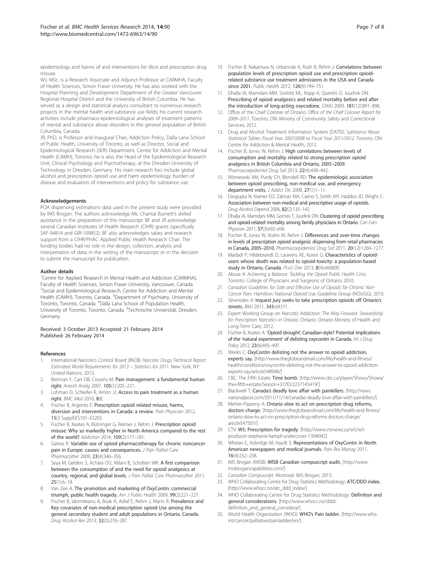<span id="page-6-0"></span>epidemiology and harms of and interventions for illicit and prescription drug misuse.

WJ, MSc, is a Research Associate and Adjunct Professor at CARMHA, Faculty of Health Sciences, Simon Fraser University. He has also worked with the Hospital Planning and Development Department of the Greater Vancouver Regional Hospital District and the University of British Columbia. He has served as a design and statistical analysis consultant to numerous research projects in the mental health and substance use fields; his current research activities include pharmaco-epidemiological analyses of treatment patterns of mental and substance abuse disorders in the general population of British Columbia, Canada.

JR, PhD, is Professor and Inaugural Chair, Addiction Policy, Dalla Lana School of Public Health, University of Toronto, as well as Director, Social and Epidemiological Research (SER) Department, Centre for Addiction and Mental Health (CAMH), Toronto; he is also the Head of the Epidemiological Research Unit, Clinical Psychology and Psychotherapy, at the Dresden University of Technology in Dresden, Germany. His main research foci include global alcohol and prescription opioid use and harm epidemiology; burden of disease and evaluation of interventions and policy for substance use.

#### Acknowledgements

POA dispensing estimations data used in the present study were provided by IMS Brogan. The authors acknowledge Ms. Chantal Burnett's skilled assistance in the preparation of this manuscript. BF and JR acknowledge several Canadian Institutes of Health Research (CIHR) grants (specifically SAF-94814 and GIR-109852). BF also acknowledges salary and research support from a CIHR/PHAC Applied Public Health Research Chair. The funding bodies had no role in the design, collection, analysis and interpretation of data; in the writing of the manuscript; or in the decision to submit the manuscript for publication.

#### Author details

<sup>1</sup> Centre for Applied Research in Mental Health and Addiction (CARMHA), Faculty of Health Sciences, Simon Fraser University, Vancouver, Canada. <sup>2</sup>Social and Epidemiological Research, Centre for Addiction and Mental Health (CAMH), Toronto, Canada. <sup>3</sup>Department of Psychiatry, University of Toronto, Toronto, Canada. <sup>4</sup>Dalla Lana School of Population Health, University of Toronto, Toronto, Canada. <sup>5</sup>Technische Universität, Dresden, Germany.

#### Received: 3 October 2013 Accepted: 21 February 2014 Published: 26 February 2014

#### References

- International Narcotics Control Board (INCB): Narcotic Drugs Technical Report: Estimated World Requirements for 2013 – Statistics for 2011. New York, NY: United Nations; 2013.
- 2. Brennan F, Carr DB, Cousins M: Pain management: a fundamental human right. Anesth Analg 2007, 105(1):205–221.
- 3. Lohman D, Schleifer R, Amon JJ: Access to pain treatment as a human right. BMC Med 2010, 8:8.
- 4. Fischer B, Argento E: Prescription opioid related misuse, harms, diversion and interventions in Canada: a review. Pain Physician 2012, 15(3 Suppl):ES191–ES203.
- 5. Fischer B, Keates A, Bühringer G, Reimer J, Rehm J: Prescription opioid misuse: Why so markedly higher in North America compared to the rest of the world? Addiction 2014, 109(2):177–181.
- 6. Galvez R: Variable use of opioid pharmacotherapy for chronic noncancer pain in Europe: causes and consequences. J Pain Palliat Care Pharmacother 2009, 23(4):346–356.
- 7. Seya M, Gelders S, Achara OU, Milani B, Scholten WK: A first comparison between the consumption of and the need for opioid analgesics at country, regional, and global levels. J Pain Palliat Care Pharmacother 2011, 25(1):6–18.
- Van Zee A: The promotion and marketing of OxyContin: commercial triumph, public health tragedy. Am J Public Health 2009, 99(2):221–227.
- Fischer B, Ialomiteanu A, Boak A, Adlaf E, Rehm J, Mann R: Prevalence and Key covariates of non-medical prescription opioid Use among the general secondary student and adult populations in Ontario, Canada. Drug Alcohol Rev 2013, 32(3):276–287.
- 10. Fischer B, Nakamura N, Urbanoski K, Rush B, Rehm J: Correlations between population levels of prescription opioid use and prescription opioidrelated substance use treatment admissions in the USA and Canada since 2001. Public Health 2012, 126(9):749–751.
- 11. Dhalla IA, Mamdani MM, Sivilotti ML, Kopp A, Qureshi O, Juurlink DN: Prescribing of opioid analgesics and related mortality before and after the introduction of long-acting oxycodone. CMAJ 2009, 181(12):891–896.
- 12. Office of the Chief Coroner of Ontario: Office of the Chief Coroner Report for 2009–2011. Toronto, ON: Ministry of Community Safety and Correctional Services; 2012.
- 13. Drug and Alcohol Treatment Information System (DATIS): Substance Abuse Statistical Tables: Fiscal Year 2007/2008 to Fiscal Year 2011/2012. Toronto, ON: Centre for Addiction & Mental Health; 2012.
- 14. Fischer B, Jones W, Rehm J: High correlations between levels of consumption and mortality related to strong prescription opioid analgesics in British Columbia and Ontario, 2005–2009. Pharmacoepidemiol Drug Saf 2013, 22(4):438–442.
- 15. Wisniewski AM, Purdy CH, Blondell RD: The epidemiologic association between opioid prescribing, non-medical use, and emergency department visits. J Addict Dis 2008, 27(1):1–11.
- 16. Dasgupta N, Kramer ED, Zalman MA, Carino S, Smith MY, Haddox JD, Wright C: Association between non-medical and prescriptive usage of opioids. Drug Alcohol Depend 2006, 82(2):135–142.
- 17. Dhalla IA, Mamdani MM, Gomes T, Juurlink DN: Clustering of opioid prescribing and opioid-related mortality among family physicians in Ontario. Can Fam Physician 2011, 57(3):e92-e96.
- 18. Fischer B, Jones W, Krahn M, Rehm J: Differences and over-time changes in levels of prescription opioid analgesic dispensing from retail pharmacies in Canada, 2005–2010. Pharmacoepidemiol Drug Saf 2011, 20(12):1269–1277.
- 19. Madadi P, Hildebrandt D, Lauwers AE, Koren G: Characteristics of opioidusers whose death was related to opioid-toxicity: a population-based study in Ontario, Canada. PLoS One 2013, 8(4):e60600.
- 20. Abuse A: Achieving a Balance: Tackling the Opioid Public Health Crisis. Toronto: College of Physicians and Surgeons of Ontario; 2010.
- 21. Canadian Guidelines for Safe and Effective Use of Opioids for Chronic Non-Cancer Pain. Hamilton: National Opioid Use Guideline Group (NOUGG); 2010.
- 22. Silversides A: Inquest jury seeks to take prescription opioids off Ontario's streets. BMJ 2011, 343:d4371.
- 23. Expert Working Group on Narcotic Addiction: The Way Forward: Stewardship for Prescription Narcotics in Ontario. Ontario: Ontario Ministry of Health and Long-Term Care; 2012.
- 24. Fischer B, Keates A: 'Opioid drought', Canadian-style? Potential implications of the 'natural experiment' of delisting oxycontin in Canada. Int J Drug Policy 2012, 23(6):495–497.
- 25. Weeks C: OxyContin delisting not the answer to opioid addiction, experts say. [[http://www.theglobeandmail.com/life/health-and-fitness/](http://www.theglobeandmail.com/life/health-and-fitness/health/conditions/oxycontin-delisting-not-the-answer-to-opioid-addiction-experts-say/article548948/) [health/conditions/oxycontin-delisting-not-the-answer-to-opioid-addiction](http://www.theglobeandmail.com/life/health-and-fitness/health/conditions/oxycontin-delisting-not-the-answer-to-opioid-addiction-experts-say/article548948/)[experts-say/article548948/\]](http://www.theglobeandmail.com/life/health-and-fitness/health/conditions/oxycontin-delisting-not-the-answer-to-opioid-addiction-experts-say/article548948/)
- 26. CBC: The Fifth Estate: Time bomb. [[http://www.cbc.ca/player/Shows/Shows/](http://www.cbc.ca/player/Shows/Shows/the+fifth+estate/Season+37/ID/2237145419/) [the+fifth+estate/Season+37/ID/2237145419/\]](http://www.cbc.ca/player/Shows/Shows/the+fifth+estate/Season+37/ID/2237145419/)
- 27. Blackwell T: Canada's deadly love affair with painkillers. [[http://news.](http://news.nationalpost.com/2011/11/14/canadas-deadly-love-affair-with-painkillers/) [nationalpost.com/2011/11/14/canadas-deadly-love-affair-with-painkillers/\]](http://news.nationalpost.com/2011/11/14/canadas-deadly-love-affair-with-painkillers/)
- Mehler-Paperny A: Ontario slow to act on prescription drug reforms, doctors charge. [[http://www.theglobeandmail.com/life/health-and-fitness/](http://www.theglobeandmail.com/life/health-and-fitness/ontario-slow-to-act-on-prescription-drug-reforms-doctors-charge/article547507/) [ontario-slow-to-act-on-prescription-drug-reforms-doctors-charge/](http://www.theglobeandmail.com/life/health-and-fitness/ontario-slow-to-act-on-prescription-drug-reforms-doctors-charge/article547507/) [article547507/\]](http://www.theglobeandmail.com/life/health-and-fitness/ontario-slow-to-act-on-prescription-drug-reforms-doctors-charge/article547507/)
- 29. CTV: W5: Prescription for tragedy. [\[http://www.ctvnews.ca/w5/w5](http://www.ctvnews.ca/w5/w5-producer-stephanie-kampf-undercover-1.994042) [producer-stephanie-kampf-undercover-1.994042\]](http://www.ctvnews.ca/w5/w5-producer-stephanie-kampf-undercover-1.994042)
- 30. Whelan E, Asbridge M, Haydt S: Representations of OxyContin in North American newspapers and medical journals. Pain Res Manag 2011, 16(4):252–258.
- 31. IMS Brogan (IMSB): IMSB Canadian compuscript audit. [[http://www.](http://www.imsbrogancapabilities.com/) [imsbrogancapabilities.com/\]](http://www.imsbrogancapabilities.com/)
- 32. Canadian Compuscript. Montreal: IMS Brogan; 2013.
- 33. WHO Collaborating Centre for Drug Statistics Methodology: ATC/DDD index. [[http://www.whocc.no/atc\\_ddd\\_index/](http://www.whocc.no/atc_ddd_index/)]
- 34. WHO Collaborating Centre for Drug Statistics Methodology: Definition and general considerations. [[http://www.whocc.no/ddd/](http://www.whocc.no/ddd/definition_and_general_considera/) definition and general considera/]
- 35. World Health Organization (WHO): WHO's Pain ladder. [[http://www.who.](http://www.who.int/cancer/palliative/painladder/en/) [int/cancer/palliative/painladder/en/](http://www.who.int/cancer/palliative/painladder/en/)]